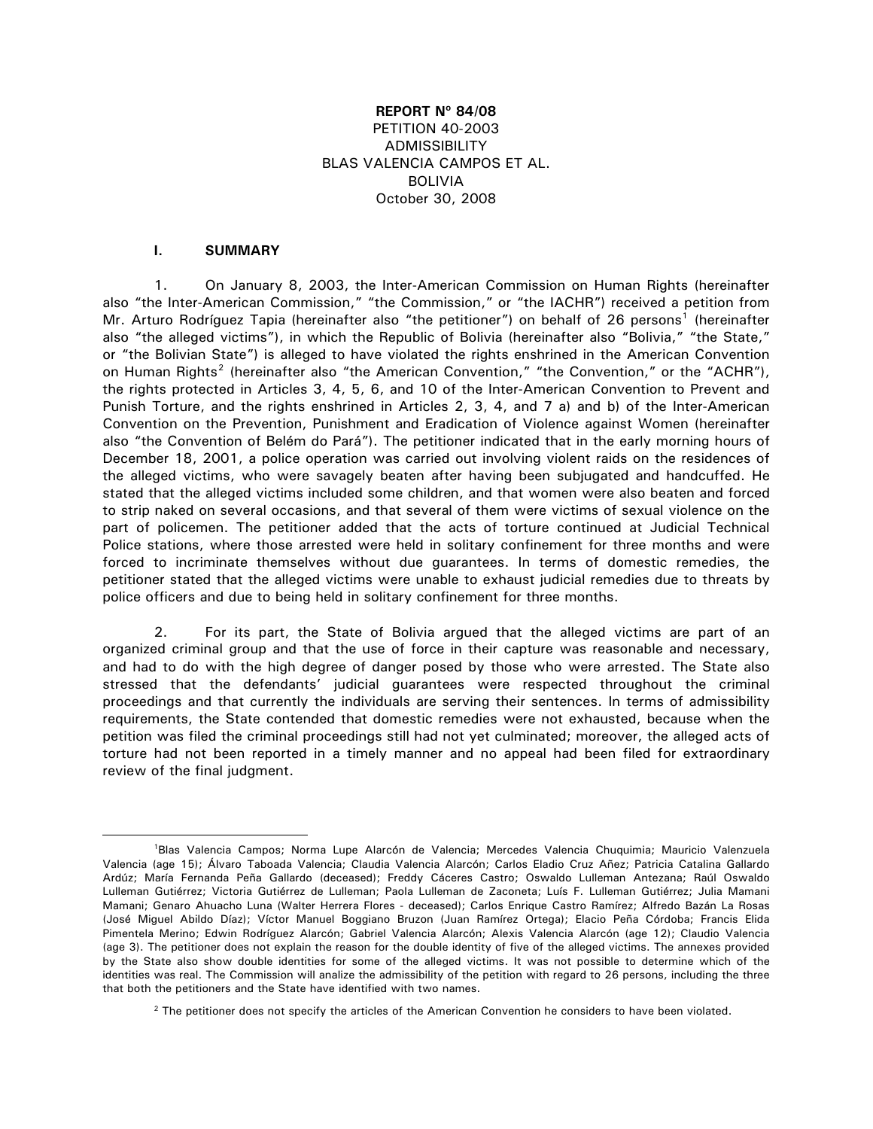## **REPORT Nº 84/08**  PETITION 40-2003 ADMISSIBILITY BLAS VALENCIA CAMPOS ET AL. BOLIVIA October 30, 2008

#### **I. SUMMARY**

 $\overline{a}$ 

1. On January 8, 2003, the Inter-American Commission on Human Rights (hereinafter also "the Inter-American Commission," "the Commission," or "the IACHR") received a petition from Mr. Arturo Rodríguez Tapia (hereinafter also "the petitioner") on behalf of 26 persons<sup>[1](#page-0-0)</sup> (hereinafter also "the alleged victims"), in which the Republic of Bolivia (hereinafter also "Bolivia," "the State," or "the Bolivian State") is alleged to have violated the rights enshrined in the American Convention on Human Rights<sup>[2](#page-0-1)</sup> (hereinafter also "the American Convention," "the Convention," or the "ACHR"), the rights protected in Articles 3, 4, 5, 6, and 10 of the Inter-American Convention to Prevent and Punish Torture, and the rights enshrined in Articles 2, 3, 4, and 7 a) and b) of the Inter-American Convention on the Prevention, Punishment and Eradication of Violence against Women (hereinafter also "the Convention of Belém do Pará"). The petitioner indicated that in the early morning hours of December 18, 2001, a police operation was carried out involving violent raids on the residences of the alleged victims, who were savagely beaten after having been subjugated and handcuffed. He stated that the alleged victims included some children, and that women were also beaten and forced to strip naked on several occasions, and that several of them were victims of sexual violence on the part of policemen. The petitioner added that the acts of torture continued at Judicial Technical Police stations, where those arrested were held in solitary confinement for three months and were forced to incriminate themselves without due guarantees. In terms of domestic remedies, the petitioner stated that the alleged victims were unable to exhaust judicial remedies due to threats by police officers and due to being held in solitary confinement for three months.

2. For its part, the State of Bolivia argued that the alleged victims are part of an organized criminal group and that the use of force in their capture was reasonable and necessary, and had to do with the high degree of danger posed by those who were arrested. The State also stressed that the defendants' judicial guarantees were respected throughout the criminal proceedings and that currently the individuals are serving their sentences. In terms of admissibility requirements, the State contended that domestic remedies were not exhausted, because when the petition was filed the criminal proceedings still had not yet culminated; moreover, the alleged acts of torture had not been reported in a timely manner and no appeal had been filed for extraordinary review of the final judgment.

<span id="page-0-0"></span><sup>1</sup>Blas Valencia Campos; Norma Lupe Alarcón de Valencia; Mercedes Valencia Chuquimia; Mauricio Valenzuela Valencia (age 15); Álvaro Taboada Valencia; Claudia Valencia Alarcón; Carlos Eladio Cruz Añez; Patricia Catalina Gallardo Ardúz; María Fernanda Peña Gallardo (deceased); Freddy Cáceres Castro; Oswaldo Lulleman Antezana; Raúl Oswaldo Lulleman Gutiérrez; Victoria Gutiérrez de Lulleman; Paola Lulleman de Zaconeta; Luís F. Lulleman Gutiérrez; Julia Mamani Mamani; Genaro Ahuacho Luna (Walter Herrera Flores - deceased); Carlos Enrique Castro Ramírez; Alfredo Bazán La Rosas (José Miguel Abildo Díaz); Víctor Manuel Boggiano Bruzon (Juan Ramírez Ortega); Elacio Peña Córdoba; Francis Elida Pimentela Merino; Edwin Rodríguez Alarcón; Gabriel Valencia Alarcón; Alexis Valencia Alarcón (age 12); Claudio Valencia (age 3). The petitioner does not explain the reason for the double identity of five of the alleged victims. The annexes provided by the State also show double identities for some of the alleged victims. It was not possible to determine which of the identities was real. The Commission will analize the admissibility of the petition with regard to 26 persons, including the three that both the petitioners and the State have identified with two names.

<span id="page-0-1"></span> $2$  The petitioner does not specify the articles of the American Convention he considers to have been violated.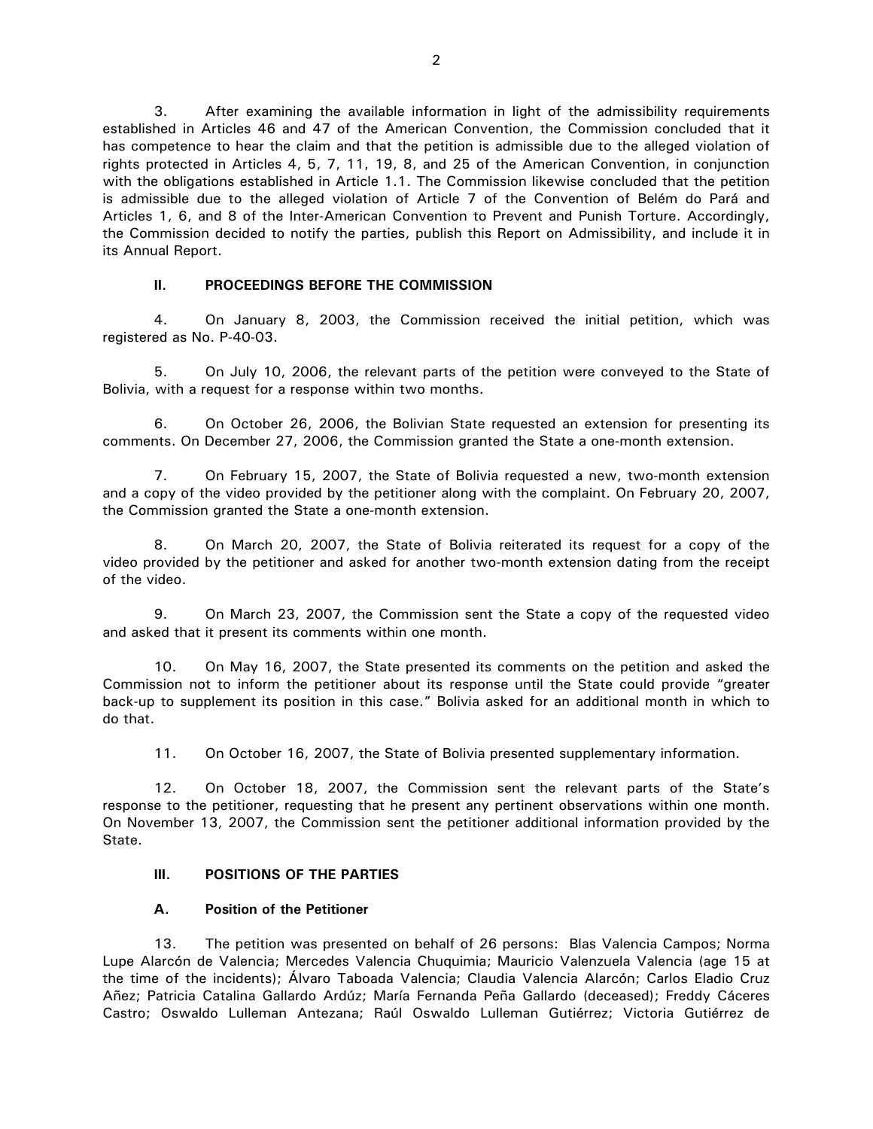3. After examining the available information in light of the admissibility requirements established in Articles 46 and 47 of the American Convention, the Commission concluded that it has competence to hear the claim and that the petition is admissible due to the alleged violation of rights protected in Articles 4, 5, 7, 11, 19, 8, and 25 of the American Convention, in conjunction with the obligations established in Article 1.1. The Commission likewise concluded that the petition is admissible due to the alleged violation of Article 7 of the Convention of Belém do Pará and Articles 1, 6, and 8 of the Inter-American Convention to Prevent and Punish Torture. Accordingly, the Commission decided to notify the parties, publish this Report on Admissibility, and include it in its Annual Report.

### **II. PROCEEDINGS BEFORE THE COMMISSION**

4. On January 8, 2003, the Commission received the initial petition, which was registered as No. P-40-03.

5. On July 10, 2006, the relevant parts of the petition were conveyed to the State of Bolivia, with a request for a response within two months.

6. On October 26, 2006, the Bolivian State requested an extension for presenting its comments. On December 27, 2006, the Commission granted the State a one-month extension.

7. On February 15, 2007, the State of Bolivia requested a new, two-month extension and a copy of the video provided by the petitioner along with the complaint. On February 20, 2007, the Commission granted the State a one-month extension.

8. On March 20, 2007, the State of Bolivia reiterated its request for a copy of the video provided by the petitioner and asked for another two-month extension dating from the receipt of the video.

9. On March 23, 2007, the Commission sent the State a copy of the requested video and asked that it present its comments within one month.

10. On May 16, 2007, the State presented its comments on the petition and asked the Commission not to inform the petitioner about its response until the State could provide "greater back-up to supplement its position in this case." Bolivia asked for an additional month in which to do that.

11. On October 16, 2007, the State of Bolivia presented supplementary information.

12. On October 18, 2007, the Commission sent the relevant parts of the State's response to the petitioner, requesting that he present any pertinent observations within one month. On November 13, 2007, the Commission sent the petitioner additional information provided by the State.

### **III. POSITIONS OF THE PARTIES**

## **A. Position of the Petitioner**

13. The petition was presented on behalf of 26 persons: Blas Valencia Campos; Norma Lupe Alarcón de Valencia; Mercedes Valencia Chuquimia; Mauricio Valenzuela Valencia (age 15 at the time of the incidents); Álvaro Taboada Valencia; Claudia Valencia Alarcón; Carlos Eladio Cruz Añez; Patricia Catalina Gallardo Ardúz; María Fernanda Peña Gallardo (deceased); Freddy Cáceres Castro; Oswaldo Lulleman Antezana; Raúl Oswaldo Lulleman Gutiérrez; Victoria Gutiérrez de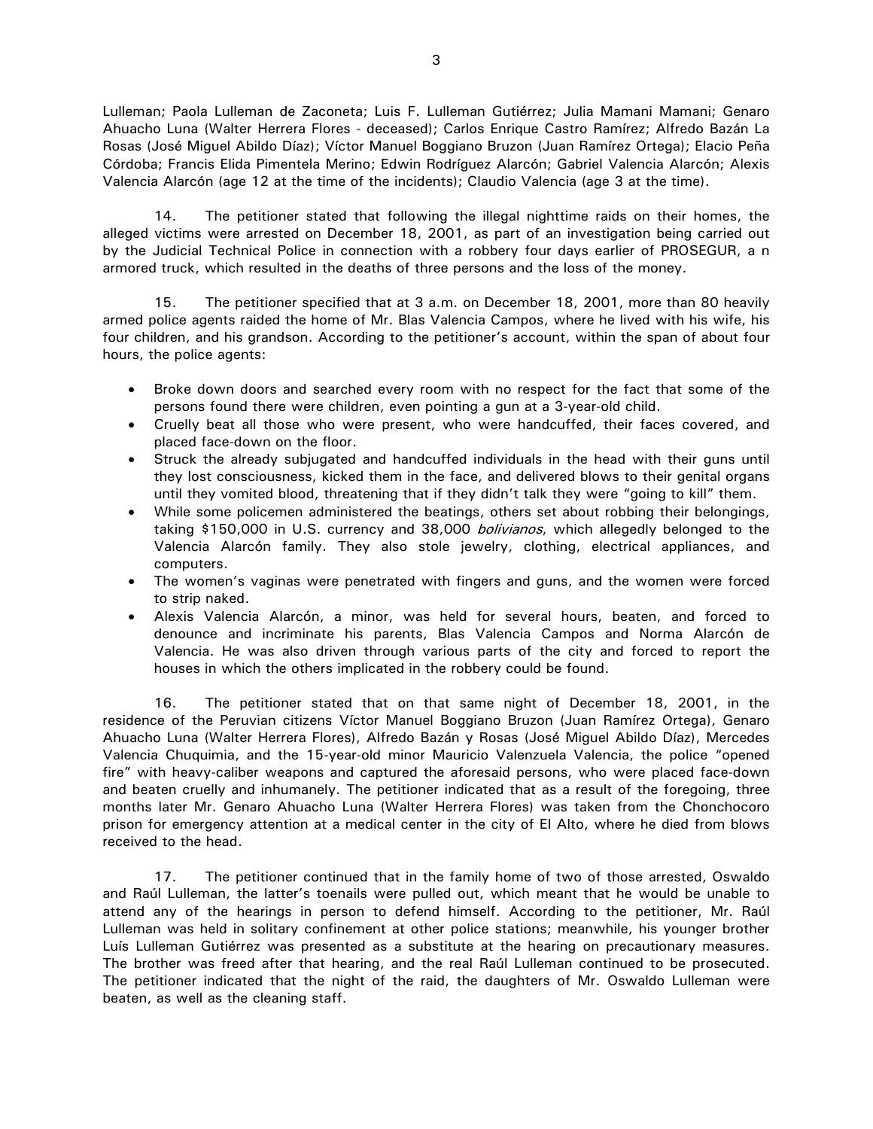Lulleman; Paola Lulleman de Zaconeta; Luis F. Lulleman Gutiérrez; Julia Mamani Mamani; Genaro Ahuacho Luna (Walter Herrera Flores - deceased); Carlos Enrique Castro Ramírez; Alfredo Bazán La Rosas (José Miguel Abildo Díaz); Víctor Manuel Boggiano Bruzon (Juan Ramírez Ortega); Elacio Peña Córdoba; Francis Elida Pimentela Merino; Edwin Rodríguez Alarcón; Gabriel Valencia Alarcón; Alexis Valencia Alarcón (age 12 at the time of the incidents); Claudio Valencia (age 3 at the time).

14. The petitioner stated that following the illegal nighttime raids on their homes, the alleged victims were arrested on December 18, 2001, as part of an investigation being carried out by the Judicial Technical Police in connection with a robbery four days earlier of PROSEGUR, a n armored truck, which resulted in the deaths of three persons and the loss of the money.

15. The petitioner specified that at 3 a.m. on December 18, 2001, more than 80 heavily armed police agents raided the home of Mr. Blas Valencia Campos, where he lived with his wife, his four children, and his grandson. According to the petitioner's account, within the span of about four hours, the police agents:

- Broke down doors and searched every room with no respect for the fact that some of the persons found there were children, even pointing a gun at a 3-year-old child.
- Cruelly beat all those who were present, who were handcuffed, their faces covered, and placed face-down on the floor.
- Struck the already subjugated and handcuffed individuals in the head with their guns until they lost consciousness, kicked them in the face, and delivered blows to their genital organs until they vomited blood, threatening that if they didn't talk they were "going to kill" them.
- While some policemen administered the beatings, others set about robbing their belongings, taking \$150,000 in U.S. currency and 38,000 *bolivianos*, which allegedly belonged to the Valencia Alarcón family. They also stole jewelry, clothing, electrical appliances, and computers.
- The women's vaginas were penetrated with fingers and guns, and the women were forced to strip naked.
- Alexis Valencia Alarcón, a minor, was held for several hours, beaten, and forced to denounce and incriminate his parents, Blas Valencia Campos and Norma Alarcón de Valencia. He was also driven through various parts of the city and forced to report the houses in which the others implicated in the robbery could be found.

16. The petitioner stated that on that same night of December 18, 2001, in the residence of the Peruvian citizens Víctor Manuel Boggiano Bruzon (Juan Ramírez Ortega), Genaro Ahuacho Luna (Walter Herrera Flores), Alfredo Bazán y Rosas (José Miguel Abildo Díaz), Mercedes Valencia Chuquimia, and the 15-year-old minor Mauricio Valenzuela Valencia, the police "opened fire" with heavy-caliber weapons and captured the aforesaid persons, who were placed face-down and beaten cruelly and inhumanely. The petitioner indicated that as a result of the foregoing, three months later Mr. Genaro Ahuacho Luna (Walter Herrera Flores) was taken from the Chonchocoro prison for emergency attention at a medical center in the city of El Alto, where he died from blows received to the head.

17. The petitioner continued that in the family home of two of those arrested, Oswaldo and Raúl Lulleman, the latter's toenails were pulled out, which meant that he would be unable to attend any of the hearings in person to defend himself. According to the petitioner, Mr. Raúl Lulleman was held in solitary confinement at other police stations; meanwhile, his younger brother Luís Lulleman Gutiérrez was presented as a substitute at the hearing on precautionary measures. The brother was freed after that hearing, and the real Raúl Lulleman continued to be prosecuted. The petitioner indicated that the night of the raid, the daughters of Mr. Oswaldo Lulleman were beaten, as well as the cleaning staff.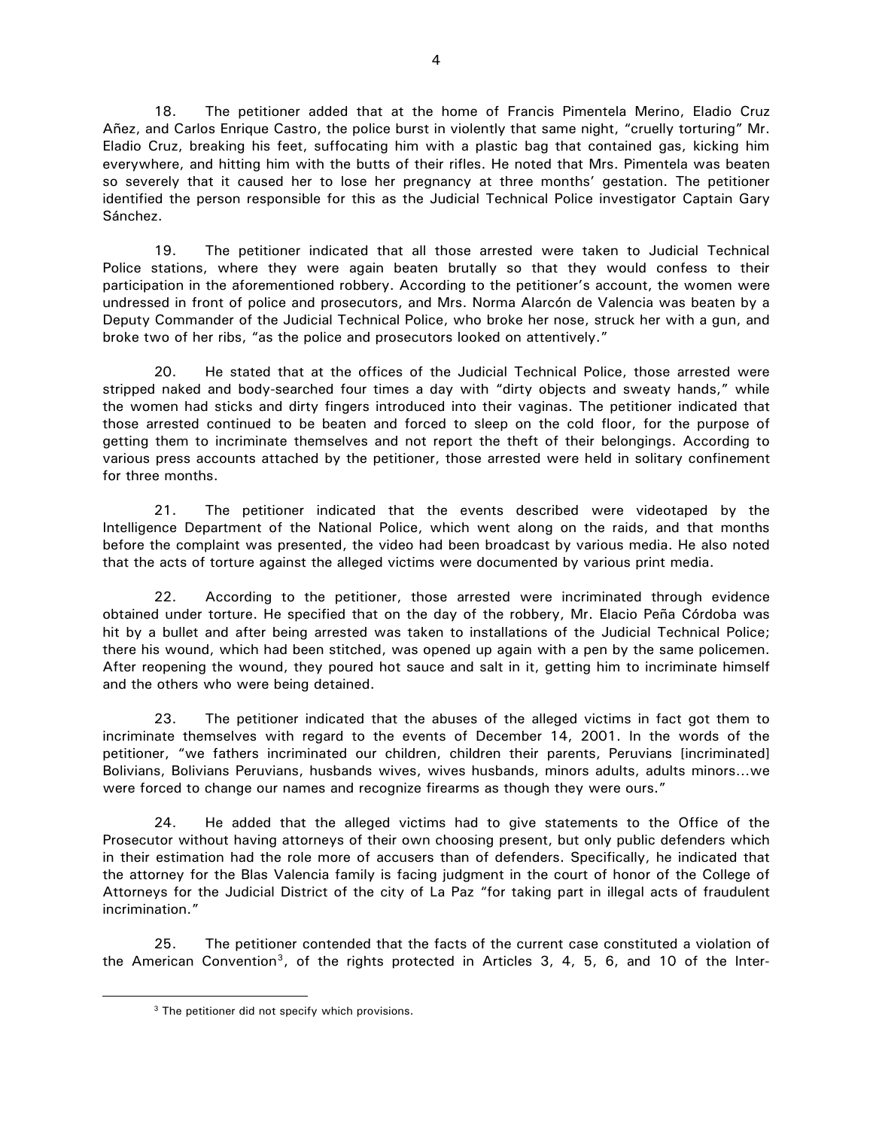18. The petitioner added that at the home of Francis Pimentela Merino, Eladio Cruz Añez, and Carlos Enrique Castro, the police burst in violently that same night, "cruelly torturing" Mr. Eladio Cruz, breaking his feet, suffocating him with a plastic bag that contained gas, kicking him everywhere, and hitting him with the butts of their rifles. He noted that Mrs. Pimentela was beaten so severely that it caused her to lose her pregnancy at three months' gestation. The petitioner identified the person responsible for this as the Judicial Technical Police investigator Captain Gary Sánchez.

19. The petitioner indicated that all those arrested were taken to Judicial Technical Police stations, where they were again beaten brutally so that they would confess to their participation in the aforementioned robbery. According to the petitioner's account, the women were undressed in front of police and prosecutors, and Mrs. Norma Alarcón de Valencia was beaten by a Deputy Commander of the Judicial Technical Police, who broke her nose, struck her with a gun, and broke two of her ribs, "as the police and prosecutors looked on attentively."

20. He stated that at the offices of the Judicial Technical Police, those arrested were stripped naked and body-searched four times a day with "dirty objects and sweaty hands," while the women had sticks and dirty fingers introduced into their vaginas. The petitioner indicated that those arrested continued to be beaten and forced to sleep on the cold floor, for the purpose of getting them to incriminate themselves and not report the theft of their belongings. According to various press accounts attached by the petitioner, those arrested were held in solitary confinement for three months.

21. The petitioner indicated that the events described were videotaped by the Intelligence Department of the National Police, which went along on the raids, and that months before the complaint was presented, the video had been broadcast by various media. He also noted that the acts of torture against the alleged victims were documented by various print media.

22. According to the petitioner, those arrested were incriminated through evidence obtained under torture. He specified that on the day of the robbery, Mr. Elacio Peña Córdoba was hit by a bullet and after being arrested was taken to installations of the Judicial Technical Police; there his wound, which had been stitched, was opened up again with a pen by the same policemen. After reopening the wound, they poured hot sauce and salt in it, getting him to incriminate himself and the others who were being detained.

23. The petitioner indicated that the abuses of the alleged victims in fact got them to incriminate themselves with regard to the events of December 14, 2001. In the words of the petitioner, "we fathers incriminated our children, children their parents, Peruvians [incriminated] Bolivians, Bolivians Peruvians, husbands wives, wives husbands, minors adults, adults minors…we were forced to change our names and recognize firearms as though they were ours."

24. He added that the alleged victims had to give statements to the Office of the Prosecutor without having attorneys of their own choosing present, but only public defenders which in their estimation had the role more of accusers than of defenders. Specifically, he indicated that the attorney for the Blas Valencia family is facing judgment in the court of honor of the College of Attorneys for the Judicial District of the city of La Paz "for taking part in illegal acts of fraudulent incrimination."

25. The petitioner contended that the facts of the current case constituted a violation of the American Convention<sup>[3](#page-3-0)</sup>, of the rights protected in Articles 3, 4, 5, 6, and 10 of the Inter-

<span id="page-3-0"></span> $\overline{a}$ 

<sup>&</sup>lt;sup>3</sup> The petitioner did not specify which provisions.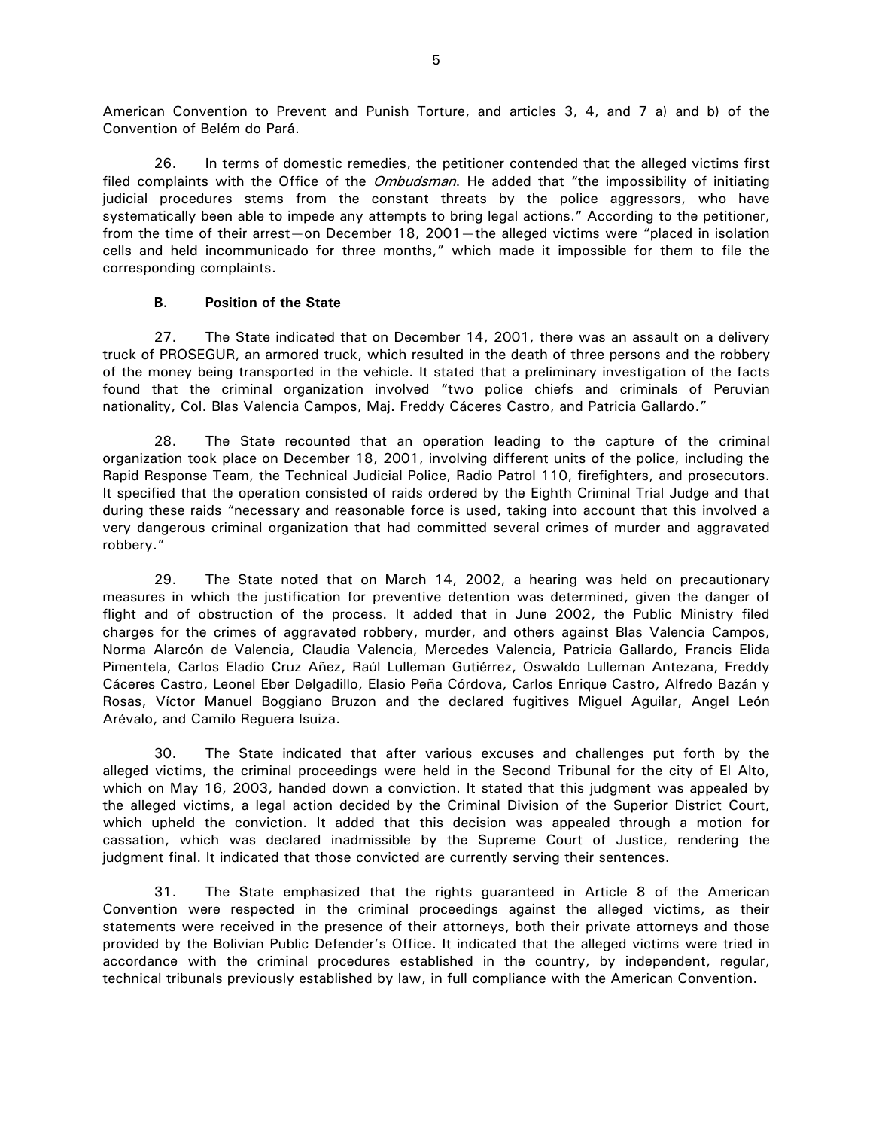American Convention to Prevent and Punish Torture, and articles 3, 4, and 7 a) and b) of the Convention of Belém do Pará.

26. In terms of domestic remedies, the petitioner contended that the alleged victims first filed complaints with the Office of the *Ombudsman*. He added that "the impossibility of initiating judicial procedures stems from the constant threats by the police aggressors, who have systematically been able to impede any attempts to bring legal actions." According to the petitioner, from the time of their arrest—on December 18, 2001—the alleged victims were "placed in isolation cells and held incommunicado for three months," which made it impossible for them to file the corresponding complaints.

### **B. Position of the State**

27. The State indicated that on December 14, 2001, there was an assault on a delivery truck of PROSEGUR, an armored truck, which resulted in the death of three persons and the robbery of the money being transported in the vehicle. It stated that a preliminary investigation of the facts found that the criminal organization involved "two police chiefs and criminals of Peruvian nationality, Col. Blas Valencia Campos, Maj. Freddy Cáceres Castro, and Patricia Gallardo."

28. The State recounted that an operation leading to the capture of the criminal organization took place on December 18, 2001, involving different units of the police, including the Rapid Response Team, the Technical Judicial Police, Radio Patrol 110, firefighters, and prosecutors. It specified that the operation consisted of raids ordered by the Eighth Criminal Trial Judge and that during these raids "necessary and reasonable force is used, taking into account that this involved a very dangerous criminal organization that had committed several crimes of murder and aggravated robbery."

29. The State noted that on March 14, 2002, a hearing was held on precautionary measures in which the justification for preventive detention was determined, given the danger of flight and of obstruction of the process. It added that in June 2002, the Public Ministry filed charges for the crimes of aggravated robbery, murder, and others against Blas Valencia Campos, Norma Alarcón de Valencia, Claudia Valencia, Mercedes Valencia, Patricia Gallardo, Francis Elida Pimentela, Carlos Eladio Cruz Añez, Raúl Lulleman Gutiérrez, Oswaldo Lulleman Antezana, Freddy Cáceres Castro, Leonel Eber Delgadillo, Elasio Peña Córdova, Carlos Enrique Castro, Alfredo Bazán y Rosas, Víctor Manuel Boggiano Bruzon and the declared fugitives Miguel Aguilar, Angel León Arévalo, and Camilo Reguera Isuiza.

30. The State indicated that after various excuses and challenges put forth by the alleged victims, the criminal proceedings were held in the Second Tribunal for the city of El Alto, which on May 16, 2003, handed down a conviction. It stated that this judgment was appealed by the alleged victims, a legal action decided by the Criminal Division of the Superior District Court, which upheld the conviction. It added that this decision was appealed through a motion for cassation, which was declared inadmissible by the Supreme Court of Justice, rendering the judgment final. It indicated that those convicted are currently serving their sentences.

31. The State emphasized that the rights guaranteed in Article 8 of the American Convention were respected in the criminal proceedings against the alleged victims, as their statements were received in the presence of their attorneys, both their private attorneys and those provided by the Bolivian Public Defender's Office. It indicated that the alleged victims were tried in accordance with the criminal procedures established in the country, by independent, regular, technical tribunals previously established by law, in full compliance with the American Convention.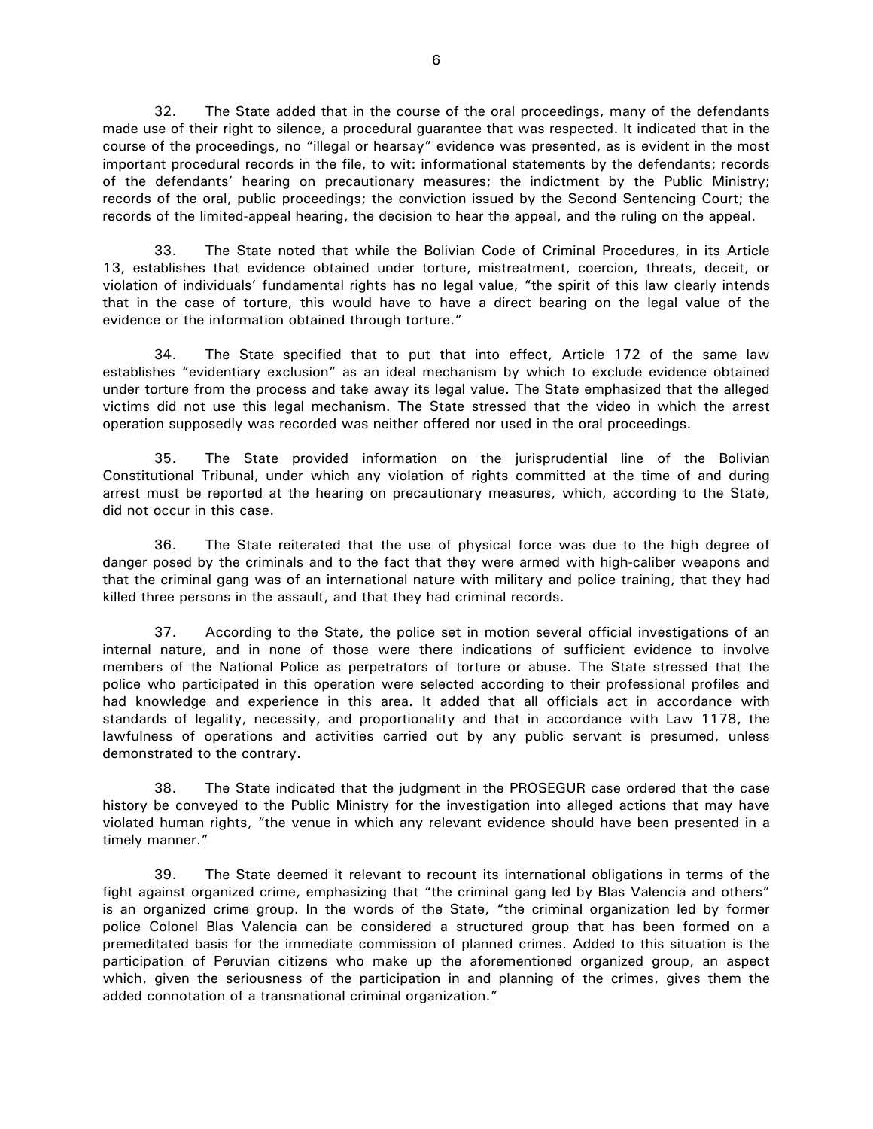32. The State added that in the course of the oral proceedings, many of the defendants made use of their right to silence, a procedural guarantee that was respected. It indicated that in the course of the proceedings, no "illegal or hearsay" evidence was presented, as is evident in the most important procedural records in the file, to wit: informational statements by the defendants; records of the defendants' hearing on precautionary measures; the indictment by the Public Ministry; records of the oral, public proceedings; the conviction issued by the Second Sentencing Court; the records of the limited-appeal hearing, the decision to hear the appeal, and the ruling on the appeal.

33. The State noted that while the Bolivian Code of Criminal Procedures, in its Article 13, establishes that evidence obtained under torture, mistreatment, coercion, threats, deceit, or violation of individuals' fundamental rights has no legal value, "the spirit of this law clearly intends that in the case of torture, this would have to have a direct bearing on the legal value of the evidence or the information obtained through torture."

34. The State specified that to put that into effect, Article 172 of the same law establishes "evidentiary exclusion" as an ideal mechanism by which to exclude evidence obtained under torture from the process and take away its legal value. The State emphasized that the alleged victims did not use this legal mechanism. The State stressed that the video in which the arrest operation supposedly was recorded was neither offered nor used in the oral proceedings.

35. The State provided information on the jurisprudential line of the Bolivian Constitutional Tribunal, under which any violation of rights committed at the time of and during arrest must be reported at the hearing on precautionary measures, which, according to the State, did not occur in this case.

36. The State reiterated that the use of physical force was due to the high degree of danger posed by the criminals and to the fact that they were armed with high-caliber weapons and that the criminal gang was of an international nature with military and police training, that they had killed three persons in the assault, and that they had criminal records.

37. According to the State, the police set in motion several official investigations of an internal nature, and in none of those were there indications of sufficient evidence to involve members of the National Police as perpetrators of torture or abuse. The State stressed that the police who participated in this operation were selected according to their professional profiles and had knowledge and experience in this area. It added that all officials act in accordance with standards of legality, necessity, and proportionality and that in accordance with Law 1178, the lawfulness of operations and activities carried out by any public servant is presumed, unless demonstrated to the contrary.

38. The State indicated that the judgment in the PROSEGUR case ordered that the case history be conveyed to the Public Ministry for the investigation into alleged actions that may have violated human rights, "the venue in which any relevant evidence should have been presented in a timely manner."

39. The State deemed it relevant to recount its international obligations in terms of the fight against organized crime, emphasizing that "the criminal gang led by Blas Valencia and others" is an organized crime group. In the words of the State, "the criminal organization led by former police Colonel Blas Valencia can be considered a structured group that has been formed on a premeditated basis for the immediate commission of planned crimes. Added to this situation is the participation of Peruvian citizens who make up the aforementioned organized group, an aspect which, given the seriousness of the participation in and planning of the crimes, gives them the added connotation of a transnational criminal organization."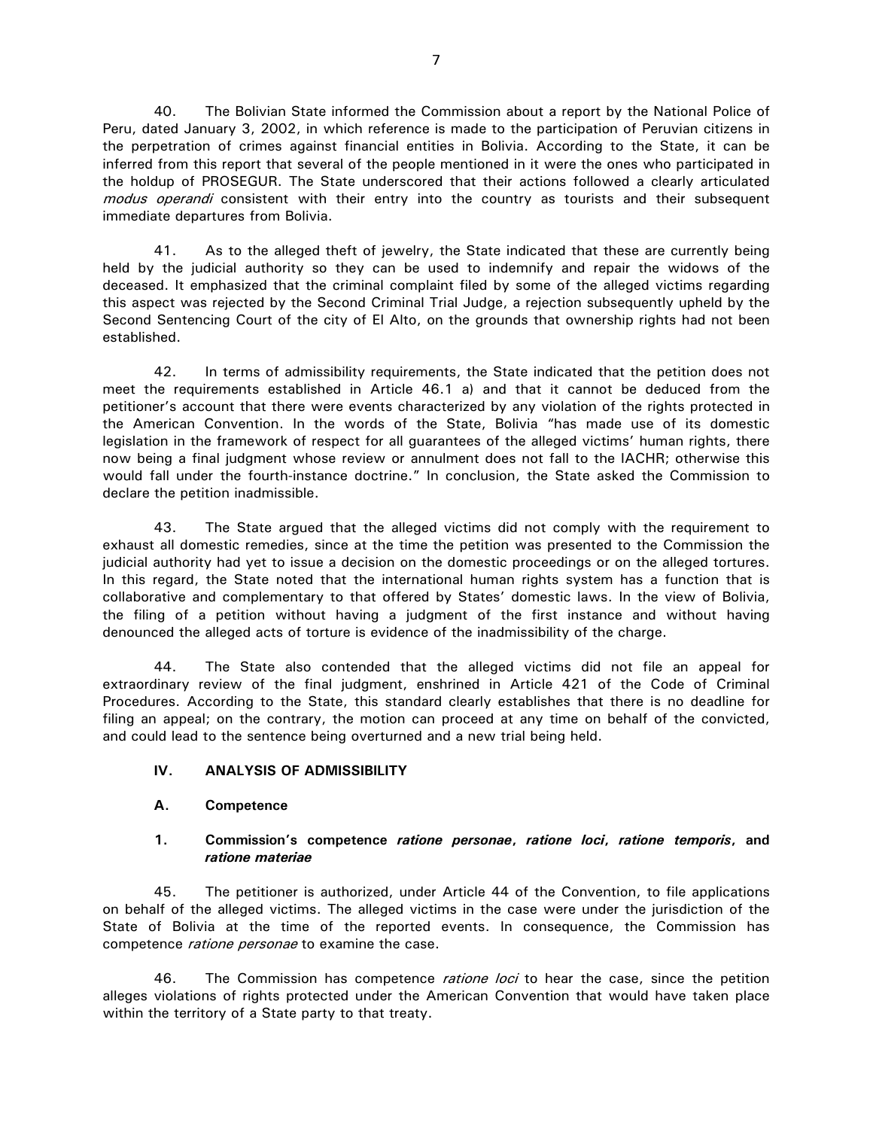40. The Bolivian State informed the Commission about a report by the National Police of Peru, dated January 3, 2002, in which reference is made to the participation of Peruvian citizens in the perpetration of crimes against financial entities in Bolivia. According to the State, it can be inferred from this report that several of the people mentioned in it were the ones who participated in the holdup of PROSEGUR. The State underscored that their actions followed a clearly articulated modus operandi consistent with their entry into the country as tourists and their subsequent immediate departures from Bolivia.

41. As to the alleged theft of jewelry, the State indicated that these are currently being held by the judicial authority so they can be used to indemnify and repair the widows of the deceased. It emphasized that the criminal complaint filed by some of the alleged victims regarding this aspect was rejected by the Second Criminal Trial Judge, a rejection subsequently upheld by the Second Sentencing Court of the city of El Alto, on the grounds that ownership rights had not been established.

42. In terms of admissibility requirements, the State indicated that the petition does not meet the requirements established in Article 46.1 a) and that it cannot be deduced from the petitioner's account that there were events characterized by any violation of the rights protected in the American Convention. In the words of the State, Bolivia "has made use of its domestic legislation in the framework of respect for all guarantees of the alleged victims' human rights, there now being a final judgment whose review or annulment does not fall to the IACHR; otherwise this would fall under the fourth-instance doctrine." In conclusion, the State asked the Commission to declare the petition inadmissible.

43. The State argued that the alleged victims did not comply with the requirement to exhaust all domestic remedies, since at the time the petition was presented to the Commission the judicial authority had yet to issue a decision on the domestic proceedings or on the alleged tortures. In this regard, the State noted that the international human rights system has a function that is collaborative and complementary to that offered by States' domestic laws. In the view of Bolivia, the filing of a petition without having a judgment of the first instance and without having denounced the alleged acts of torture is evidence of the inadmissibility of the charge.

44. The State also contended that the alleged victims did not file an appeal for extraordinary review of the final judgment, enshrined in Article 421 of the Code of Criminal Procedures. According to the State, this standard clearly establishes that there is no deadline for filing an appeal; on the contrary, the motion can proceed at any time on behalf of the convicted, and could lead to the sentence being overturned and a new trial being held.

# **IV. ANALYSIS OF ADMISSIBILITY**

# **A. Competence**

## **1. Commission's competence** *ratione personae***,** *ratione loci***,** *ratione temporis***, and**  *ratione materiae*

45. The petitioner is authorized, under Article 44 of the Convention, to file applications on behalf of the alleged victims. The alleged victims in the case were under the jurisdiction of the State of Bolivia at the time of the reported events. In consequence, the Commission has competence ratione personae to examine the case.

46. The Commission has competence *ratione loci* to hear the case, since the petition alleges violations of rights protected under the American Convention that would have taken place within the territory of a State party to that treaty.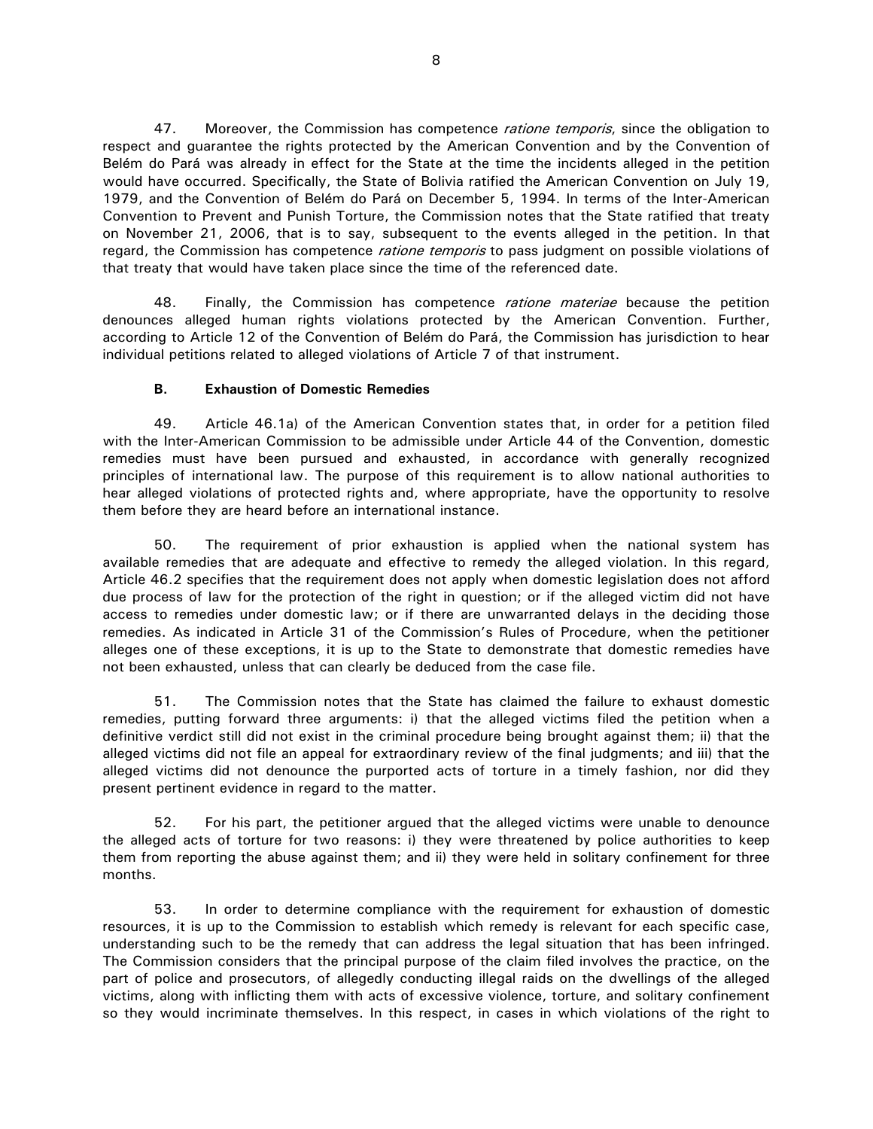47. Moreover, the Commission has competence *ratione temporis*, since the obligation to respect and guarantee the rights protected by the American Convention and by the Convention of Belém do Pará was already in effect for the State at the time the incidents alleged in the petition would have occurred. Specifically, the State of Bolivia ratified the American Convention on July 19, 1979, and the Convention of Belém do Pará on December 5, 1994. In terms of the Inter-American Convention to Prevent and Punish Torture, the Commission notes that the State ratified that treaty on November 21, 2006, that is to say, subsequent to the events alleged in the petition. In that regard, the Commission has competence ratione temporis to pass judgment on possible violations of that treaty that would have taken place since the time of the referenced date.

48. Finally, the Commission has competence *ratione materiae* because the petition denounces alleged human rights violations protected by the American Convention. Further, according to Article 12 of the Convention of Belém do Pará, the Commission has jurisdiction to hear individual petitions related to alleged violations of Article 7 of that instrument.

### **B. Exhaustion of Domestic Remedies**

49. Article 46.1a) of the American Convention states that, in order for a petition filed with the Inter-American Commission to be admissible under Article 44 of the Convention, domestic remedies must have been pursued and exhausted, in accordance with generally recognized principles of international law. The purpose of this requirement is to allow national authorities to hear alleged violations of protected rights and, where appropriate, have the opportunity to resolve them before they are heard before an international instance.

50. The requirement of prior exhaustion is applied when the national system has available remedies that are adequate and effective to remedy the alleged violation. In this regard, Article 46.2 specifies that the requirement does not apply when domestic legislation does not afford due process of law for the protection of the right in question; or if the alleged victim did not have access to remedies under domestic law; or if there are unwarranted delays in the deciding those remedies. As indicated in Article 31 of the Commission's Rules of Procedure, when the petitioner alleges one of these exceptions, it is up to the State to demonstrate that domestic remedies have not been exhausted, unless that can clearly be deduced from the case file.

51. The Commission notes that the State has claimed the failure to exhaust domestic remedies, putting forward three arguments: i) that the alleged victims filed the petition when a definitive verdict still did not exist in the criminal procedure being brought against them; ii) that the alleged victims did not file an appeal for extraordinary review of the final judgments; and iii) that the alleged victims did not denounce the purported acts of torture in a timely fashion, nor did they present pertinent evidence in regard to the matter.

52. For his part, the petitioner argued that the alleged victims were unable to denounce the alleged acts of torture for two reasons: i) they were threatened by police authorities to keep them from reporting the abuse against them; and ii) they were held in solitary confinement for three months.

53. In order to determine compliance with the requirement for exhaustion of domestic resources, it is up to the Commission to establish which remedy is relevant for each specific case, understanding such to be the remedy that can address the legal situation that has been infringed. The Commission considers that the principal purpose of the claim filed involves the practice, on the part of police and prosecutors, of allegedly conducting illegal raids on the dwellings of the alleged victims, along with inflicting them with acts of excessive violence, torture, and solitary confinement so they would incriminate themselves. In this respect, in cases in which violations of the right to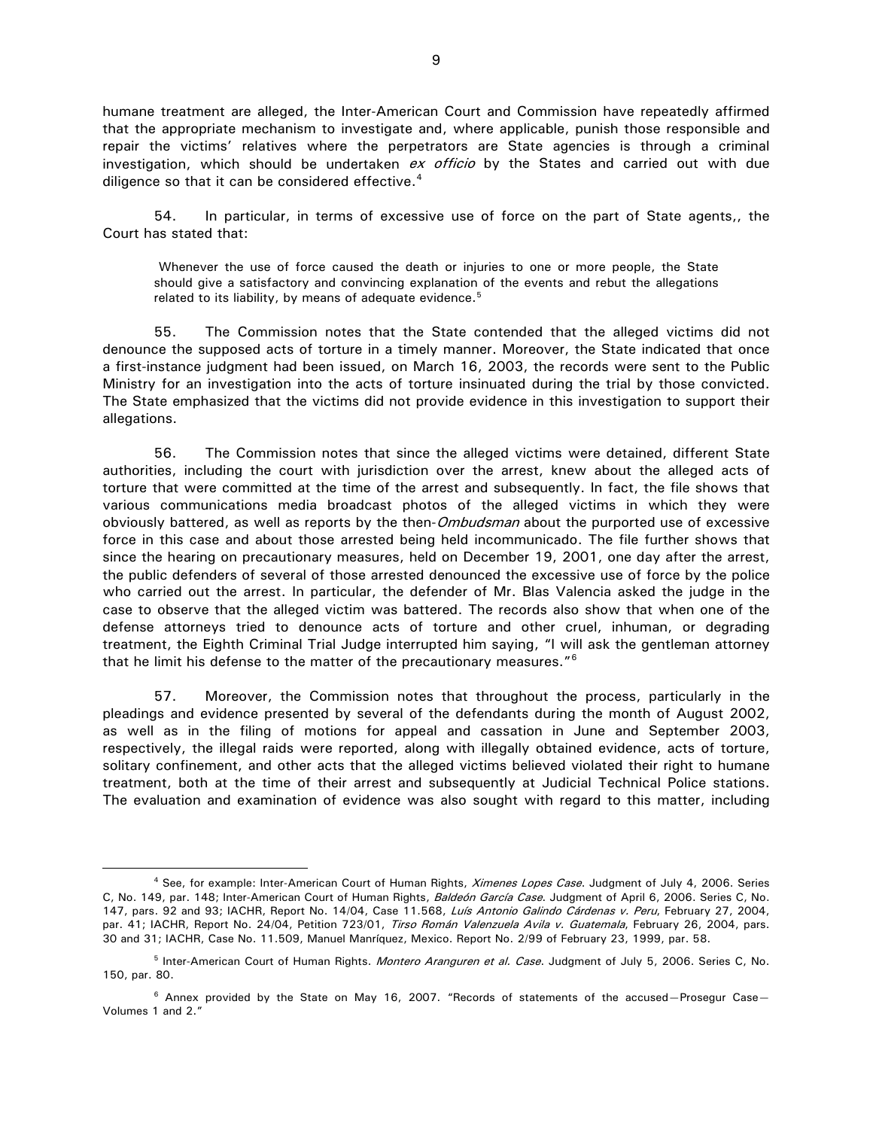humane treatment are alleged, the Inter-American Court and Commission have repeatedly affirmed that the appropriate mechanism to investigate and, where applicable, punish those responsible and repair the victims' relatives where the perpetrators are State agencies is through a criminal investigation, which should be undertaken  $ex$  officio by the States and carried out with due diligence so that it can be considered effective.<sup>[4](#page-8-0)</sup>

54. In particular, in terms of excessive use of force on the part of State agents,, the Court has stated that:

Whenever the use of force caused the death or injuries to one or more people, the State should give a satisfactory and convincing explanation of the events and rebut the allegations related to its liability, by means of adequate evidence. $5$ 

55. The Commission notes that the State contended that the alleged victims did not denounce the supposed acts of torture in a timely manner. Moreover, the State indicated that once a first-instance judgment had been issued, on March 16, 2003, the records were sent to the Public Ministry for an investigation into the acts of torture insinuated during the trial by those convicted. The State emphasized that the victims did not provide evidence in this investigation to support their allegations.

56. The Commission notes that since the alleged victims were detained, different State authorities, including the court with jurisdiction over the arrest, knew about the alleged acts of torture that were committed at the time of the arrest and subsequently. In fact, the file shows that various communications media broadcast photos of the alleged victims in which they were obviously battered, as well as reports by the then-*Ombudsman* about the purported use of excessive force in this case and about those arrested being held incommunicado. The file further shows that since the hearing on precautionary measures, held on December 19, 2001, one day after the arrest, the public defenders of several of those arrested denounced the excessive use of force by the police who carried out the arrest. In particular, the defender of Mr. Blas Valencia asked the judge in the case to observe that the alleged victim was battered. The records also show that when one of the defense attorneys tried to denounce acts of torture and other cruel, inhuman, or degrading treatment, the Eighth Criminal Trial Judge interrupted him saying, "I will ask the gentleman attorney that he limit his defense to the matter of the precautionary measures."[6](#page-8-2)

57. Moreover, the Commission notes that throughout the process, particularly in the pleadings and evidence presented by several of the defendants during the month of August 2002, as well as in the filing of motions for appeal and cassation in June and September 2003, respectively, the illegal raids were reported, along with illegally obtained evidence, acts of torture, solitary confinement, and other acts that the alleged victims believed violated their right to humane treatment, both at the time of their arrest and subsequently at Judicial Technical Police stations. The evaluation and examination of evidence was also sought with regard to this matter, including

 $\overline{a}$ 

<span id="page-8-0"></span><sup>&</sup>lt;sup>4</sup> See, for example: Inter-American Court of Human Rights, Ximenes Lopes Case. Judgment of July 4, 2006. Series C, No. 149, par. 148; Inter-American Court of Human Rights, Baldeón García Case. Judgment of April 6, 2006. Series C, No. 147, pars. 92 and 93; IACHR, Report No. 14/04, Case 11.568, Luís Antonio Galindo Cárdenas v. Peru, February 27, 2004, par. 41; IACHR, Report No. 24/04, Petition 723/01, Tirso Román Valenzuela Avila v. Guatemala, February 26, 2004, pars. 30 and 31; IACHR, Case No. 11.509, Manuel Manríquez, Mexico. Report No. 2/99 of February 23, 1999, par. 58.

<span id="page-8-1"></span><sup>&</sup>lt;sup>5</sup> Inter-American Court of Human Rights. *Montero Aranguren et al. Case*. Judgment of July 5, 2006. Series C, No. 150, par. 80.

<span id="page-8-2"></span> $6$  Annex provided by the State on May 16, 2007. "Records of statements of the accused–Prosegur Case– Volumes 1 and 2."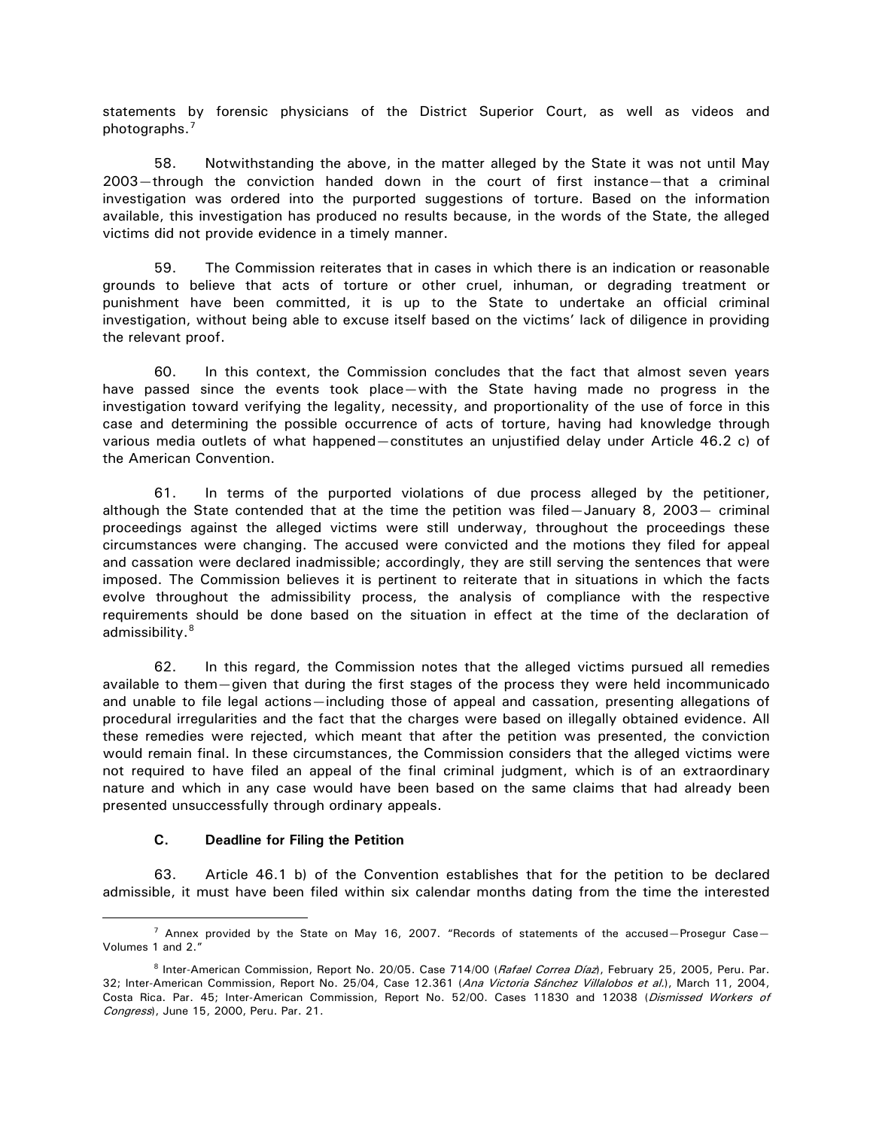statements by forensic physicians of the District Superior Court, as well as videos and photographs.[7](#page-9-0)

58. Notwithstanding the above, in the matter alleged by the State it was not until May 2003—through the conviction handed down in the court of first instance—that a criminal investigation was ordered into the purported suggestions of torture. Based on the information available, this investigation has produced no results because, in the words of the State, the alleged victims did not provide evidence in a timely manner.

59. The Commission reiterates that in cases in which there is an indication or reasonable grounds to believe that acts of torture or other cruel, inhuman, or degrading treatment or punishment have been committed, it is up to the State to undertake an official criminal investigation, without being able to excuse itself based on the victims' lack of diligence in providing the relevant proof.

60. In this context, the Commission concludes that the fact that almost seven years have passed since the events took place—with the State having made no progress in the investigation toward verifying the legality, necessity, and proportionality of the use of force in this case and determining the possible occurrence of acts of torture, having had knowledge through various media outlets of what happened—constitutes an unjustified delay under Article 46.2 c) of the American Convention.

61. In terms of the purported violations of due process alleged by the petitioner, although the State contended that at the time the petition was filed—January 8, 2003— criminal proceedings against the alleged victims were still underway, throughout the proceedings these circumstances were changing. The accused were convicted and the motions they filed for appeal and cassation were declared inadmissible; accordingly, they are still serving the sentences that were imposed. The Commission believes it is pertinent to reiterate that in situations in which the facts evolve throughout the admissibility process, the analysis of compliance with the respective requirements should be done based on the situation in effect at the time of the declaration of admissibility.<sup>[8](#page-9-1)</sup>

62. In this regard, the Commission notes that the alleged victims pursued all remedies available to them—given that during the first stages of the process they were held incommunicado and unable to file legal actions—including those of appeal and cassation, presenting allegations of procedural irregularities and the fact that the charges were based on illegally obtained evidence. All these remedies were rejected, which meant that after the petition was presented, the conviction would remain final. In these circumstances, the Commission considers that the alleged victims were not required to have filed an appeal of the final criminal judgment, which is of an extraordinary nature and which in any case would have been based on the same claims that had already been presented unsuccessfully through ordinary appeals.

### **C. Deadline for Filing the Petition**

 $\overline{a}$ 

63. Article 46.1 b) of the Convention establishes that for the petition to be declared admissible, it must have been filed within six calendar months dating from the time the interested

<span id="page-9-0"></span> $7$  Annex provided by the State on May 16, 2007. "Records of statements of the accused–Prosegur Case– Volumes 1 and 2."

<span id="page-9-1"></span><sup>&</sup>lt;sup>8</sup> Inter-American Commission, Report No. 20/05. Case 714/00 (Rafael Correa Díaz), February 25, 2005, Peru. Par. 32; Inter-American Commission, Report No. 25/04, Case 12.361 (Ana Victoria Sánchez Villalobos et al.), March 11, 2004, Costa Rica. Par. 45; Inter-American Commission, Report No. 52/00. Cases 11830 and 12038 (Dismissed Workers of Congress), June 15, 2000, Peru. Par. 21.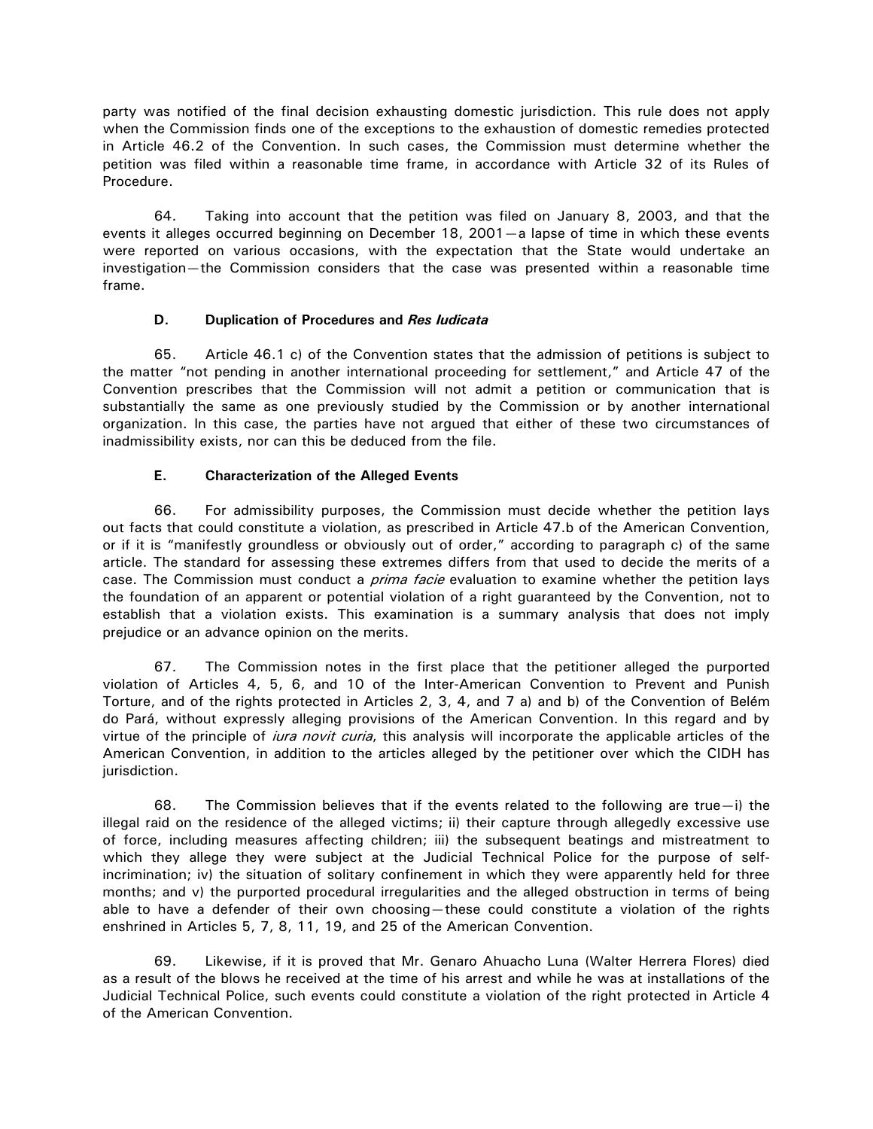party was notified of the final decision exhausting domestic jurisdiction. This rule does not apply when the Commission finds one of the exceptions to the exhaustion of domestic remedies protected in Article 46.2 of the Convention. In such cases, the Commission must determine whether the petition was filed within a reasonable time frame, in accordance with Article 32 of its Rules of Procedure.

64. Taking into account that the petition was filed on January 8, 2003, and that the events it alleges occurred beginning on December 18, 2001—a lapse of time in which these events were reported on various occasions, with the expectation that the State would undertake an investigation—the Commission considers that the case was presented within a reasonable time frame.

# **D. Duplication of Procedures and** *Res Iudicata*

65. Article 46.1 c) of the Convention states that the admission of petitions is subject to the matter "not pending in another international proceeding for settlement," and Article 47 of the Convention prescribes that the Commission will not admit a petition or communication that is substantially the same as one previously studied by the Commission or by another international organization. In this case, the parties have not argued that either of these two circumstances of inadmissibility exists, nor can this be deduced from the file.

## **E. Characterization of the Alleged Events**

66. For admissibility purposes, the Commission must decide whether the petition lays out facts that could constitute a violation, as prescribed in Article 47.b of the American Convention, or if it is "manifestly groundless or obviously out of order," according to paragraph c) of the same article. The standard for assessing these extremes differs from that used to decide the merits of a case. The Commission must conduct a *prima facie* evaluation to examine whether the petition lays the foundation of an apparent or potential violation of a right guaranteed by the Convention, not to establish that a violation exists. This examination is a summary analysis that does not imply prejudice or an advance opinion on the merits.

67. The Commission notes in the first place that the petitioner alleged the purported violation of Articles 4, 5, 6, and 10 of the Inter-American Convention to Prevent and Punish Torture, and of the rights protected in Articles 2, 3, 4, and 7 a) and b) of the Convention of Belém do Pará, without expressly alleging provisions of the American Convention. In this regard and by virtue of the principle of *iura novit curia*, this analysis will incorporate the applicable articles of the American Convention, in addition to the articles alleged by the petitioner over which the CIDH has jurisdiction.

68. The Commission believes that if the events related to the following are true—i) the illegal raid on the residence of the alleged victims; ii) their capture through allegedly excessive use of force, including measures affecting children; iii) the subsequent beatings and mistreatment to which they allege they were subject at the Judicial Technical Police for the purpose of selfincrimination; iv) the situation of solitary confinement in which they were apparently held for three months; and v) the purported procedural irregularities and the alleged obstruction in terms of being able to have a defender of their own choosing—these could constitute a violation of the rights enshrined in Articles 5, 7, 8, 11, 19, and 25 of the American Convention.

69. Likewise, if it is proved that Mr. Genaro Ahuacho Luna (Walter Herrera Flores) died as a result of the blows he received at the time of his arrest and while he was at installations of the Judicial Technical Police, such events could constitute a violation of the right protected in Article 4 of the American Convention.